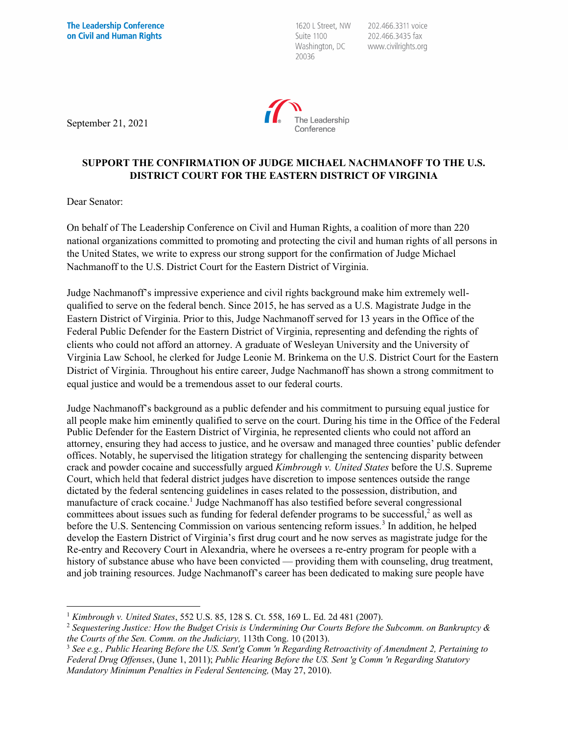1620 L Street, NW Suite 1100 Washington, DC 20036

202.466.3311 voice 202.466.3435 fax www.civilrights.org



September 21, 2021

## **SUPPORT THE CONFIRMATION OF JUDGE MICHAEL NACHMANOFF TO THE U.S. DISTRICT COURT FOR THE EASTERN DISTRICT OF VIRGINIA**

Dear Senator:

On behalf of The Leadership Conference on Civil and Human Rights, a coalition of more than 220 national organizations committed to promoting and protecting the civil and human rights of all persons in the United States, we write to express our strong support for the confirmation of Judge Michael Nachmanoff to the U.S. District Court for the Eastern District of Virginia.

Judge Nachmanoff's impressive experience and civil rights background make him extremely wellqualified to serve on the federal bench. Since 2015, he has served as a U.S. Magistrate Judge in the Eastern District of Virginia. Prior to this, Judge Nachmanoff served for 13 years in the Office of the Federal Public Defender for the Eastern District of Virginia, representing and defending the rights of clients who could not afford an attorney. A graduate of Wesleyan University and the University of Virginia Law School, he clerked for Judge Leonie M. Brinkema on the U.S. District Court for the Eastern District of Virginia. Throughout his entire career, Judge Nachmanoff has shown a strong commitment to equal justice and would be a tremendous asset to our federal courts.

Judge Nachmanoff's background as a public defender and his commitment to pursuing equal justice for all people make him eminently qualified to serve on the court. During his time in the Office of the Federal Public Defender for the Eastern District of Virginia, he represented clients who could not afford an attorney, ensuring they had access to justice, and he oversaw and managed three counties' public defender offices. Notably, he supervised the litigation strategy for challenging the sentencing disparity between crack and powder cocaine and successfully argued *Kimbrough v. United States* before the U.S. Supreme Court, which held that federal district judges have discretion to impose sentences outside the range dictated by the federal sentencing guidelines in cases related to the possession, distribution, and manufacture of crack cocaine.1 Judge Nachmanoff has also testified before several congressional committees about issues such as funding for federal defender programs to be successful, $\frac{2}{3}$  as well as before the U.S. Sentencing Commission on various sentencing reform issues.<sup>3</sup> In addition, he helped develop the Eastern District of Virginia's first drug court and he now serves as magistrate judge for the Re-entry and Recovery Court in Alexandria, where he oversees a re-entry program for people with a history of substance abuse who have been convicted — providing them with counseling, drug treatment, and job training resources. Judge Nachmanoff's career has been dedicated to making sure people have

<sup>1</sup> *Kimbrough v. United States*, 552 U.S. 85, 128 S. Ct. 558, 169 L. Ed. 2d 481 (2007).

<sup>2</sup> *Sequestering Justice: How the Budget Crisis is Undermining Our Courts Before the Subcomm. on Bankruptcy & the Courts of the Sen. Comm. on the Judiciary,* 113th Cong. 10 (2013).

<sup>3</sup> *See e.g., Public Hearing Before the US. Sent'g Comm 'n Regarding Retroactivity of Amendment 2, Pertaining to Federal Drug Offenses*, (June 1, 2011); *Public Hearing Before the US. Sent 'g Comm 'n Regarding Statutory Mandatory Minimum Penalties in Federal Sentencing,* (May 27, 2010).